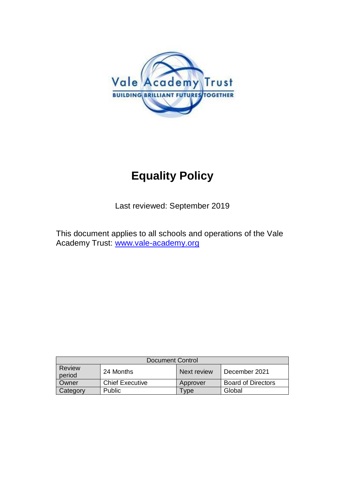

# **Equality Policy**

Last reviewed: September 2019

This document applies to all schools and operations of the Vale Academy Trust: [www.vale-academy.org](http://www.vale-academy.org/)

| Document Control        |                        |             |                           |
|-------------------------|------------------------|-------------|---------------------------|
| <b>Review</b><br>period | 24 Months              | Next review | December 2021             |
| Owner                   | <b>Chief Executive</b> | Approver    | <b>Board of Directors</b> |
| Category                | <b>Public</b>          | vpe         | Global                    |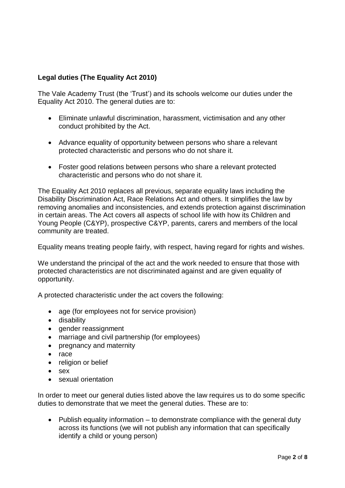# **Legal duties (The Equality Act 2010)**

The Vale Academy Trust (the 'Trust') and its schools welcome our duties under the Equality Act 2010. The general duties are to:

- Eliminate unlawful discrimination, harassment, victimisation and any other conduct prohibited by the Act.
- Advance equality of opportunity between persons who share a relevant protected characteristic and persons who do not share it.
- Foster good relations between persons who share a relevant protected characteristic and persons who do not share it.

The Equality Act 2010 replaces all previous, separate equality laws including the Disability Discrimination Act, Race Relations Act and others. It simplifies the law by removing anomalies and inconsistencies, and extends protection against discrimination in certain areas. The Act covers all aspects of school life with how its Children and Young People (C&YP), prospective C&YP, parents, carers and members of the local community are treated.

Equality means treating people fairly, with respect, having regard for rights and wishes.

We understand the principal of the act and the work needed to ensure that those with protected characteristics are not discriminated against and are given equality of opportunity.

A protected characteristic under the act covers the following:

- age (for employees not for service provision)
- **•** disability
- gender reassignment
- marriage and civil partnership (for employees)
- pregnancy and maternity
- race
- religion or belief
- sex
- sexual orientation

In order to meet our general duties listed above the law requires us to do some specific duties to demonstrate that we meet the general duties. These are to:

• Publish equality information  $-$  to demonstrate compliance with the general duty across its functions (we will not publish any information that can specifically identify a child or young person)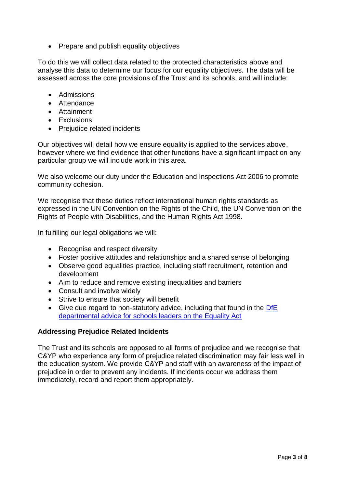• Prepare and publish equality objectives

To do this we will collect data related to the protected characteristics above and analyse this data to determine our focus for our equality objectives. The data will be assessed across the core provisions of the Trust and its schools, and will include:

- Admissions
- Attendance
- Attainment
- **Exclusions**
- Prejudice related incidents

Our objectives will detail how we ensure equality is applied to the services above, however where we find evidence that other functions have a significant impact on any particular group we will include work in this area.

We also welcome our duty under the Education and Inspections Act 2006 to promote community cohesion.

We recognise that these duties reflect international human rights standards as expressed in the UN Convention on the Rights of the Child, the UN Convention on the Rights of People with Disabilities, and the Human Rights Act 1998.

In fulfilling our legal obligations we will:

- Recognise and respect diversity
- Foster positive attitudes and relationships and a shared sense of belonging
- Observe good equalities practice, including staff recruitment, retention and development
- Aim to reduce and remove existing inequalities and barriers
- Consult and involve widely
- Strive to ensure that society will benefit
- Give due regard to non-statutory advice, including that found in the DfE [departmental advice for schools leaders on the Equality Act](https://assets.publishing.service.gov.uk/government/uploads/system/uploads/attachment_data/file/315587/Equality_Act_Advice_Final.pdf)

#### **Addressing Prejudice Related Incidents**

The Trust and its schools are opposed to all forms of prejudice and we recognise that C&YP who experience any form of prejudice related discrimination may fair less well in the education system. We provide C&YP and staff with an awareness of the impact of prejudice in order to prevent any incidents. If incidents occur we address them immediately, record and report them appropriately.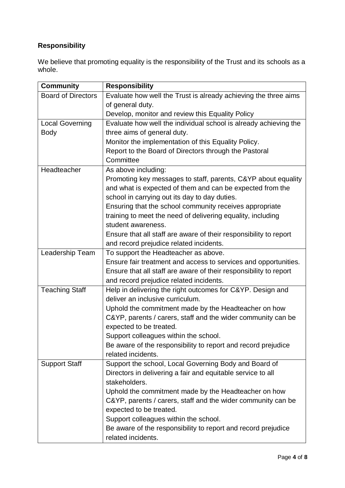# **Responsibility**

We believe that promoting equality is the responsibility of the Trust and its schools as a whole.

| <b>Community</b>          | <b>Responsibility</b>                                             |  |  |
|---------------------------|-------------------------------------------------------------------|--|--|
| <b>Board of Directors</b> | Evaluate how well the Trust is already achieving the three aims   |  |  |
|                           | of general duty.                                                  |  |  |
|                           | Develop, monitor and review this Equality Policy                  |  |  |
| <b>Local Governing</b>    | Evaluate how well the individual school is already achieving the  |  |  |
| <b>Body</b>               | three aims of general duty.                                       |  |  |
|                           | Monitor the implementation of this Equality Policy.               |  |  |
|                           | Report to the Board of Directors through the Pastoral             |  |  |
|                           | Committee                                                         |  |  |
| Headteacher               | As above including:                                               |  |  |
|                           | Promoting key messages to staff, parents, C&YP about equality     |  |  |
|                           | and what is expected of them and can be expected from the         |  |  |
|                           | school in carrying out its day to day duties.                     |  |  |
|                           | Ensuring that the school community receives appropriate           |  |  |
|                           | training to meet the need of delivering equality, including       |  |  |
|                           | student awareness.                                                |  |  |
|                           | Ensure that all staff are aware of their responsibility to report |  |  |
|                           | and record prejudice related incidents.                           |  |  |
| Leadership Team           | To support the Headteacher as above.                              |  |  |
|                           | Ensure fair treatment and access to services and opportunities.   |  |  |
|                           | Ensure that all staff are aware of their responsibility to report |  |  |
|                           | and record prejudice related incidents.                           |  |  |
| <b>Teaching Staff</b>     | Help in delivering the right outcomes for C&YP. Design and        |  |  |
|                           | deliver an inclusive curriculum.                                  |  |  |
|                           | Uphold the commitment made by the Headteacher on how              |  |  |
|                           | C&YP, parents / carers, staff and the wider community can be      |  |  |
|                           | expected to be treated.                                           |  |  |
|                           | Support colleagues within the school.                             |  |  |
|                           | Be aware of the responsibility to report and record prejudice     |  |  |
|                           | related incidents.                                                |  |  |
| <b>Support Staff</b>      | Support the school, Local Governing Body and Board of             |  |  |
|                           | Directors in delivering a fair and equitable service to all       |  |  |
|                           | stakeholders.                                                     |  |  |
|                           | Uphold the commitment made by the Headteacher on how              |  |  |
|                           | C&YP, parents / carers, staff and the wider community can be      |  |  |
|                           | expected to be treated.                                           |  |  |
|                           | Support colleagues within the school.                             |  |  |
|                           | Be aware of the responsibility to report and record prejudice     |  |  |
|                           | related incidents.                                                |  |  |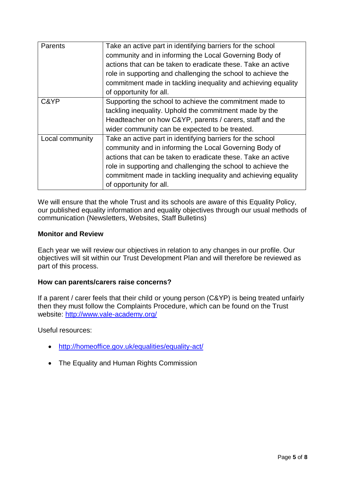| <b>Parents</b>  | Take an active part in identifying barriers for the school<br>community and in informing the Local Governing Body of<br>actions that can be taken to eradicate these. Take an active<br>role in supporting and challenging the school to achieve the<br>commitment made in tackling inequality and achieving equality<br>of opportunity for all. |
|-----------------|--------------------------------------------------------------------------------------------------------------------------------------------------------------------------------------------------------------------------------------------------------------------------------------------------------------------------------------------------|
| C&YP            | Supporting the school to achieve the commitment made to<br>tackling inequality. Uphold the commitment made by the<br>Headteacher on how C&YP, parents / carers, staff and the<br>wider community can be expected to be treated.                                                                                                                  |
| Local community | Take an active part in identifying barriers for the school<br>community and in informing the Local Governing Body of<br>actions that can be taken to eradicate these. Take an active<br>role in supporting and challenging the school to achieve the<br>commitment made in tackling inequality and achieving equality<br>of opportunity for all. |

We will ensure that the whole Trust and its schools are aware of this Equality Policy, our published equality information and equality objectives through our usual methods of communication (Newsletters, Websites, Staff Bulletins)

### **Monitor and Review**

Each year we will review our objectives in relation to any changes in our profile. Our objectives will sit within our Trust Development Plan and will therefore be reviewed as part of this process.

#### **How can parents/carers raise concerns?**

If a parent / carer feels that their child or young person (C&YP) is being treated unfairly then they must follow the Complaints Procedure, which can be found on the Trust website:<http://www.vale-academy.org/>

Useful resources:

- <http://homeoffice.gov.uk/equalities/equality-act/>
- The Equality and Human Rights Commission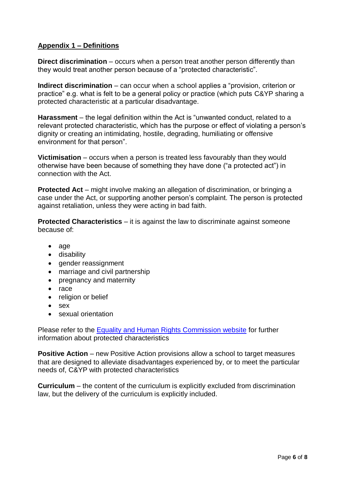# **Appendix 1 – Definitions**

**Direct discrimination** – occurs when a person treat another person differently than they would treat another person because of a "protected characteristic".

**Indirect discrimination** – can occur when a school applies a "provision, criterion or practice" e.g. what is felt to be a general policy or practice (which puts C&YP sharing a protected characteristic at a particular disadvantage.

**Harassment** – the legal definition within the Act is "unwanted conduct, related to a relevant protected characteristic, which has the purpose or effect of violating a person's dignity or creating an intimidating, hostile, degrading, humiliating or offensive environment for that person".

**Victimisation** – occurs when a person is treated less favourably than they would otherwise have been because of something they have done ("a protected act") in connection with the Act.

**Protected Act** – might involve making an allegation of discrimination, or bringing a case under the Act, or supporting another person's complaint. The person is protected against retaliation, unless they were acting in bad faith.

**Protected Characteristics** – it is against the law to discriminate against someone because of:

- age
- disability
- gender reassignment
- marriage and civil partnership
- pregnancy and maternity
- race
- religion or belief
- sex
- sexual orientation

Please refer to the [Equality and Human Rights Commission website](https://www.equalityhumanrights.com/en/equality-act/protected-characteristics) for further information about protected characteristics

**Positive Action** – new Positive Action provisions allow a school to target measures that are designed to alleviate disadvantages experienced by, or to meet the particular needs of, C&YP with protected characteristics

**Curriculum** – the content of the curriculum is explicitly excluded from discrimination law, but the delivery of the curriculum is explicitly included.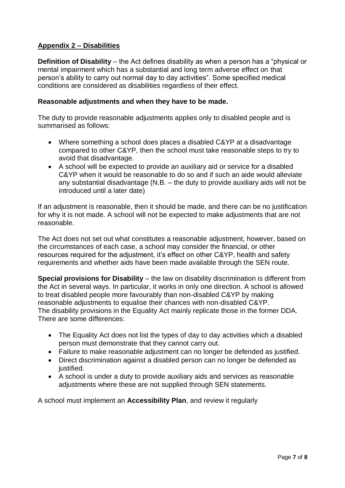# **Appendix 2 – Disabilities**

**Definition of Disability** – the Act defines disability as when a person has a "physical or mental impairment which has a substantial and long term adverse effect on that person's ability to carry out normal day to day activities". Some specified medical conditions are considered as disabilities regardless of their effect.

#### **Reasonable adjustments and when they have to be made.**

The duty to provide reasonable adjustments applies only to disabled people and is summarised as follows:

- Where something a school does places a disabled C&YP at a disadvantage compared to other C&YP, then the school must take reasonable steps to try to avoid that disadvantage.
- A school will be expected to provide an auxiliary aid or service for a disabled C&YP when it would be reasonable to do so and if such an aide would alleviate any substantial disadvantage (N.B. – the duty to provide auxiliary aids will not be introduced until a later date)

If an adjustment is reasonable, then it should be made, and there can be no justification for why it is not made. A school will not be expected to make adjustments that are not reasonable.

The Act does not set out what constitutes a reasonable adjustment, however, based on the circumstances of each case, a school may consider the financial, or other resources required for the adjustment, it's effect on other C&YP, health and safety requirements and whether aids have been made available through the SEN route.

**Special provisions for Disability** – the law on disability discrimination is different from the Act in several ways. In particular, it works in only one direction. A school is allowed to treat disabled people more favourably than non-disabled C&YP by making reasonable adjustments to equalise their chances with non-disabled C&YP. The disability provisions in the Equality Act mainly replicate those in the former DDA. There are some differences:

- The Equality Act does not list the types of day to day activities which a disabled person must demonstrate that they cannot carry out.
- Failure to make reasonable adjustment can no longer be defended as justified.
- Direct discrimination against a disabled person can no longer be defended as justified.
- A school is under a duty to provide auxiliary aids and services as reasonable adjustments where these are not supplied through SEN statements.

A school must implement an **Accessibility Plan**, and review it regularly